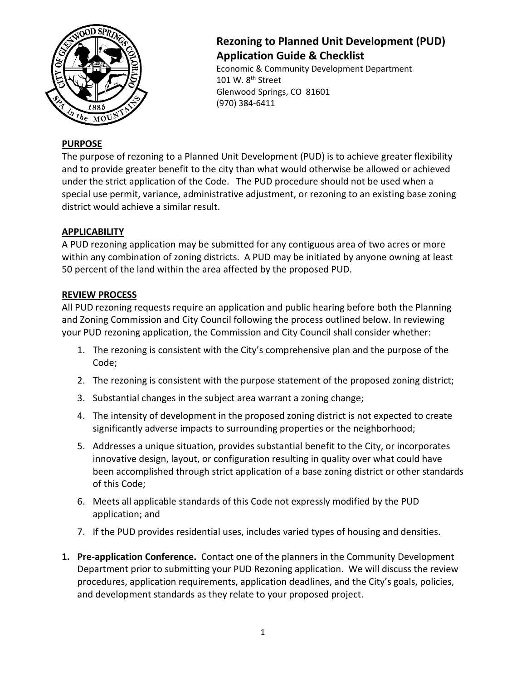

# **Rezoning to Planned Unit Development (PUD) Application Guide & Checklist**

Economic & Community Development Department 101 W. 8<sup>th</sup> Street Glenwood Springs, CO 81601 (970) 384-6411

## **PURPOSE**

The purpose of rezoning to a Planned Unit Development (PUD) is to achieve greater flexibility and to provide greater benefit to the city than what would otherwise be allowed or achieved under the strict application of the Code. The PUD procedure should not be used when a special use permit, variance, administrative adjustment, or rezoning to an existing base zoning district would achieve a similar result.

### **APPLICABILITY**

A PUD rezoning application may be submitted for any contiguous area of two acres or more within any combination of zoning districts. A PUD may be initiated by anyone owning at least 50 percent of the land within the area affected by the proposed PUD.

### **REVIEW PROCESS**

All PUD rezoning requests require an application and public hearing before both the Planning and Zoning Commission and City Council following the process outlined below. In reviewing your PUD rezoning application, the Commission and City Council shall consider whether:

- 1. The rezoning is consistent with the City's comprehensive plan and the purpose of the Code;
- 2. The rezoning is consistent with the purpose statement of the proposed zoning district;
- 3. Substantial changes in the subject area warrant a zoning change;
- 4. The intensity of development in the proposed zoning district is not expected to create significantly adverse impacts to surrounding properties or the neighborhood;
- 5. Addresses a unique situation, provides substantial benefit to the City, or incorporates innovative design, layout, or configuration resulting in quality over what could have been accomplished through strict application of a base zoning district or other standards of this Code;
- 6. Meets all applicable standards of this Code not expressly modified by the PUD application; and
- 7. If the PUD provides residential uses, includes varied types of housing and densities.
- **1. Pre-application Conference.** Contact one of the planners in the Community Development Department prior to submitting your PUD Rezoning application. We will discuss the review procedures, application requirements, application deadlines, and the City's goals, policies, and development standards as they relate to your proposed project.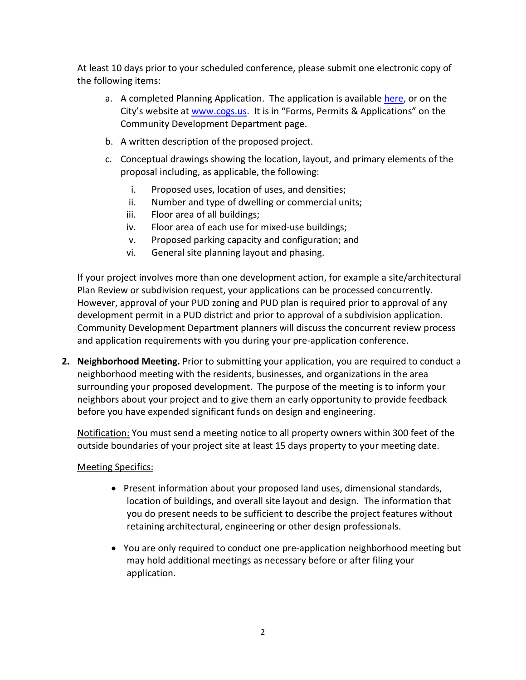At least 10 days prior to your scheduled conference, please submit one electronic copy of the following items:

- a. A completed Planning Application. The application is available [here,](http://www.ci.glenwood-springs.co.us/DocumentCenter/View/130/Planning-Application-PDF?bidId=) or on the City's website at [www.cogs.us.](http://www.cogs.us/) It is in "Forms, Permits & Applications" on the Community Development Department page.
- b. A written description of the proposed project.
- c. Conceptual drawings showing the location, layout, and primary elements of the proposal including, as applicable, the following:
	- i. Proposed uses, location of uses, and densities;
	- ii. Number and type of dwelling or commercial units;
	- iii. Floor area of all buildings;
	- iv. Floor area of each use for mixed-use buildings;
	- v. Proposed parking capacity and configuration; and
	- vi. General site planning layout and phasing.

If your project involves more than one development action, for example a site/architectural Plan Review or subdivision request, your applications can be processed concurrently. However, approval of your PUD zoning and PUD plan is required prior to approval of any development permit in a PUD district and prior to approval of a subdivision application. Community Development Department planners will discuss the concurrent review process and application requirements with you during your pre-application conference.

**2. Neighborhood Meeting.** Prior to submitting your application, you are required to conduct a neighborhood meeting with the residents, businesses, and organizations in the area surrounding your proposed development. The purpose of the meeting is to inform your neighbors about your project and to give them an early opportunity to provide feedback before you have expended significant funds on design and engineering.

Notification: You must send a meeting notice to all property owners within 300 feet of the outside boundaries of your project site at least 15 days property to your meeting date.

### Meeting Specifics:

- Present information about your proposed land uses, dimensional standards, location of buildings, and overall site layout and design. The information that you do present needs to be sufficient to describe the project features without retaining architectural, engineering or other design professionals.
- You are only required to conduct one pre-application neighborhood meeting but may hold additional meetings as necessary before or after filing your application.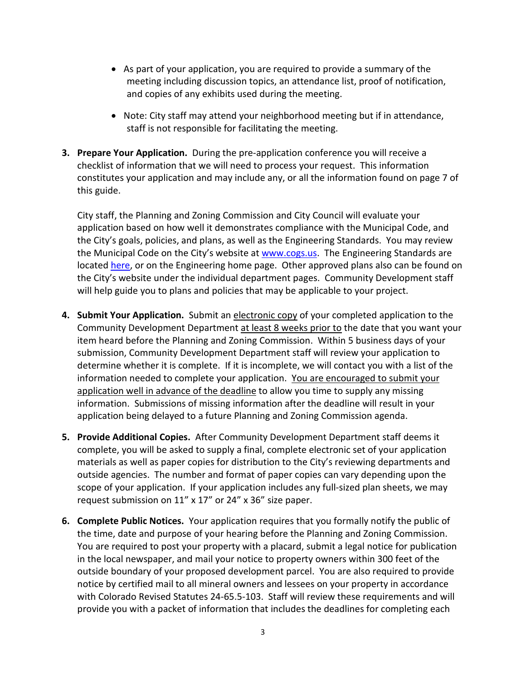- As part of your application, you are required to provide a summary of the meeting including discussion topics, an attendance list, proof of notification, and copies of any exhibits used during the meeting.
- Note: City staff may attend your neighborhood meeting but if in attendance, staff is not responsible for facilitating the meeting.
- **3. Prepare Your Application.** During the pre-application conference you will receive a checklist of information that we will need to process your request. This information constitutes your application and may include any, or all the information found on page 7 of this guide.

City staff, the Planning and Zoning Commission and City Council will evaluate your application based on how well it demonstrates compliance with the Municipal Code, and the City's goals, policies, and plans, as well as the Engineering Standards. You may review the Municipal Code on the City's website at [www.cogs.us.](http://www.cogs.us/) The Engineering Standards are located [here,](http://www.ci.glenwood-springs.co.us/423/Engineering-Standards) or on the Engineering home page. Other approved plans also can be found on the City's website under the individual department pages. Community Development staff will help guide you to plans and policies that may be applicable to your project.

- **4. Submit Your Application.** Submit an electronic copy of your completed application to the Community Development Department at least 8 weeks prior to the date that you want your item heard before the Planning and Zoning Commission. Within 5 business days of your submission, Community Development Department staff will review your application to determine whether it is complete. If it is incomplete, we will contact you with a list of the information needed to complete your application. You are encouraged to submit your application well in advance of the deadline to allow you time to supply any missing information. Submissions of missing information after the deadline will result in your application being delayed to a future Planning and Zoning Commission agenda.
- **5. Provide Additional Copies.** After Community Development Department staff deems it complete, you will be asked to supply a final, complete electronic set of your application materials as well as paper copies for distribution to the City's reviewing departments and outside agencies. The number and format of paper copies can vary depending upon the scope of your application. If your application includes any full-sized plan sheets, we may request submission on 11" x 17" or 24" x 36" size paper.
- **6. Complete Public Notices.** Your application requires that you formally notify the public of the time, date and purpose of your hearing before the Planning and Zoning Commission. You are required to post your property with a placard, submit a legal notice for publication in the local newspaper, and mail your notice to property owners within 300 feet of the outside boundary of your proposed development parcel. You are also required to provide notice by certified mail to all mineral owners and lessees on your property in accordance with Colorado Revised Statutes 24-65.5-103. Staff will review these requirements and will provide you with a packet of information that includes the deadlines for completing each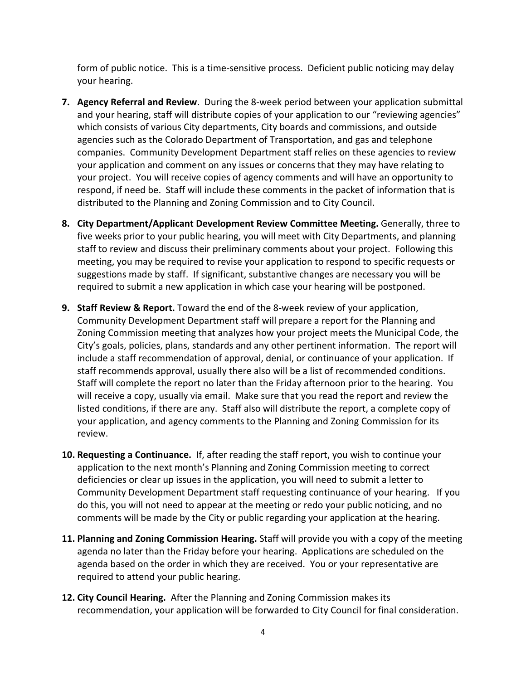form of public notice. This is a time-sensitive process. Deficient public noticing may delay your hearing.

- **7. Agency Referral and Review**. During the 8-week period between your application submittal and your hearing, staff will distribute copies of your application to our "reviewing agencies" which consists of various City departments, City boards and commissions, and outside agencies such as the Colorado Department of Transportation, and gas and telephone companies. Community Development Department staff relies on these agencies to review your application and comment on any issues or concerns that they may have relating to your project. You will receive copies of agency comments and will have an opportunity to respond, if need be. Staff will include these comments in the packet of information that is distributed to the Planning and Zoning Commission and to City Council.
- **8. City Department/Applicant Development Review Committee Meeting.** Generally, three to five weeks prior to your public hearing, you will meet with City Departments, and planning staff to review and discuss their preliminary comments about your project. Following this meeting, you may be required to revise your application to respond to specific requests or suggestions made by staff. If significant, substantive changes are necessary you will be required to submit a new application in which case your hearing will be postponed.
- **9. Staff Review & Report.** Toward the end of the 8-week review of your application, Community Development Department staff will prepare a report for the Planning and Zoning Commission meeting that analyzes how your project meets the Municipal Code, the City's goals, policies, plans, standards and any other pertinent information. The report will include a staff recommendation of approval, denial, or continuance of your application. If staff recommends approval, usually there also will be a list of recommended conditions. Staff will complete the report no later than the Friday afternoon prior to the hearing. You will receive a copy, usually via email. Make sure that you read the report and review the listed conditions, if there are any. Staff also will distribute the report, a complete copy of your application, and agency comments to the Planning and Zoning Commission for its review.
- **10. Requesting a Continuance.** If, after reading the staff report, you wish to continue your application to the next month's Planning and Zoning Commission meeting to correct deficiencies or clear up issues in the application, you will need to submit a letter to Community Development Department staff requesting continuance of your hearing. If you do this, you will not need to appear at the meeting or redo your public noticing, and no comments will be made by the City or public regarding your application at the hearing.
- **11. Planning and Zoning Commission Hearing.** Staff will provide you with a copy of the meeting agenda no later than the Friday before your hearing. Applications are scheduled on the agenda based on the order in which they are received. You or your representative are required to attend your public hearing.
- **12. City Council Hearing.** After the Planning and Zoning Commission makes its recommendation, your application will be forwarded to City Council for final consideration.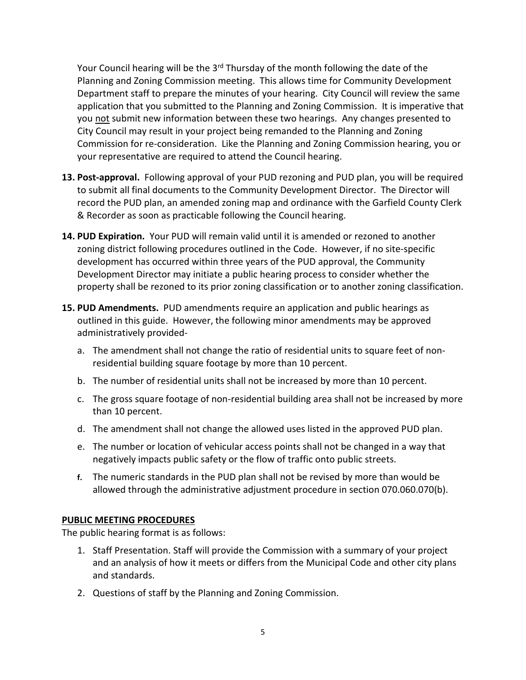Your Council hearing will be the 3<sup>rd</sup> Thursday of the month following the date of the Planning and Zoning Commission meeting. This allows time for Community Development Department staff to prepare the minutes of your hearing. City Council will review the same application that you submitted to the Planning and Zoning Commission. It is imperative that you not submit new information between these two hearings. Any changes presented to City Council may result in your project being remanded to the Planning and Zoning Commission for re-consideration. Like the Planning and Zoning Commission hearing, you or your representative are required to attend the Council hearing.

- **13. Post-approval.** Following approval of your PUD rezoning and PUD plan, you will be required to submit all final documents to the Community Development Director. The Director will record the PUD plan, an amended zoning map and ordinance with the Garfield County Clerk & Recorder as soon as practicable following the Council hearing.
- **14. PUD Expiration.** Your PUD will remain valid until it is amended or rezoned to another zoning district following procedures outlined in the Code. However, if no site-specific development has occurred within three years of the PUD approval, the Community Development Director may initiate a public hearing process to consider whether the property shall be rezoned to its prior zoning classification or to another zoning classification.
- **15. PUD Amendments.** PUD amendments require an application and public hearings as outlined in this guide. However, the following minor amendments may be approved administratively provided
	- a. The amendment shall not change the ratio of residential units to square feet of nonresidential building square footage by more than 10 percent.
	- b. The number of residential units shall not be increased by more than 10 percent.
	- c. The gross square footage of non-residential building area shall not be increased by more than 10 percent.
	- d. The amendment shall not change the allowed uses listed in the approved PUD plan.
	- e. The number or location of vehicular access points shall not be changed in a way that negatively impacts public safety or the flow of traffic onto public streets.
	- **f.** The numeric standards in the PUD plan shall not be revised by more than would be allowed through the administrative adjustment procedure in section 070.060.070(b).

#### **PUBLIC MEETING PROCEDURES**

The public hearing format is as follows:

- 1. Staff Presentation. Staff will provide the Commission with a summary of your project and an analysis of how it meets or differs from the Municipal Code and other city plans and standards.
- 2. Questions of staff by the Planning and Zoning Commission.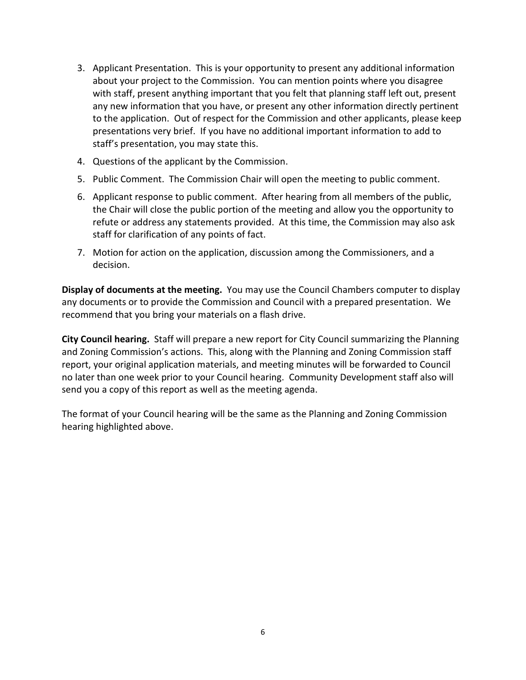- 3. Applicant Presentation. This is your opportunity to present any additional information about your project to the Commission. You can mention points where you disagree with staff, present anything important that you felt that planning staff left out, present any new information that you have, or present any other information directly pertinent to the application. Out of respect for the Commission and other applicants, please keep presentations very brief. If you have no additional important information to add to staff's presentation, you may state this.
- 4. Questions of the applicant by the Commission.
- 5. Public Comment. The Commission Chair will open the meeting to public comment.
- 6. Applicant response to public comment. After hearing from all members of the public, the Chair will close the public portion of the meeting and allow you the opportunity to refute or address any statements provided. At this time, the Commission may also ask staff for clarification of any points of fact.
- 7. Motion for action on the application, discussion among the Commissioners, and a decision.

**Display of documents at the meeting.** You may use the Council Chambers computer to display any documents or to provide the Commission and Council with a prepared presentation. We recommend that you bring your materials on a flash drive.

**City Council hearing.** Staff will prepare a new report for City Council summarizing the Planning and Zoning Commission's actions. This, along with the Planning and Zoning Commission staff report, your original application materials, and meeting minutes will be forwarded to Council no later than one week prior to your Council hearing. Community Development staff also will send you a copy of this report as well as the meeting agenda.

The format of your Council hearing will be the same as the Planning and Zoning Commission hearing highlighted above.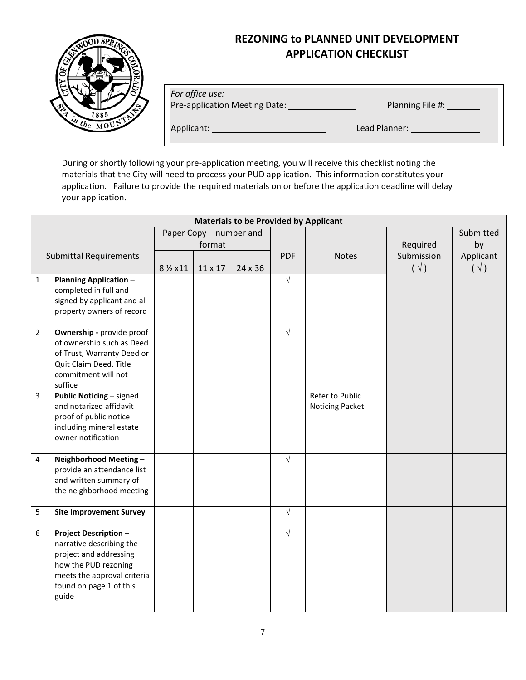# **REZONING to PLANNED UNIT DEVELOPMENT APPLICATION CHECKLIST**



*For office use:* 

Pre-application Meeting Date: Planning File #:

Applicant: Lead Planner:

During or shortly following your pre-application meeting, you will receive this checklist noting the materials that the City will need to process your PUD application. This information constitutes your application. Failure to provide the required materials on or before the application deadline will delay your application.

| <b>Materials to be Provided by Applicant</b> |                                                                                                                                                                               |                                   |         |         |            |                                    |                             |                            |  |  |
|----------------------------------------------|-------------------------------------------------------------------------------------------------------------------------------------------------------------------------------|-----------------------------------|---------|---------|------------|------------------------------------|-----------------------------|----------------------------|--|--|
| <b>Submittal Requirements</b>                |                                                                                                                                                                               | Paper Copy - number and<br>format |         |         |            |                                    | Required                    | Submitted<br>by            |  |  |
|                                              |                                                                                                                                                                               | 8 % x11                           | 11 x 17 | 24 x 36 | <b>PDF</b> | <b>Notes</b>                       | Submission<br>$(\sqrt{ } )$ | Applicant<br>$(\sqrt{ } )$ |  |  |
| $\mathbf{1}$                                 | <b>Planning Application -</b><br>completed in full and<br>signed by applicant and all<br>property owners of record                                                            |                                   |         |         | $\sqrt{ }$ |                                    |                             |                            |  |  |
| $\overline{2}$                               | Ownership - provide proof<br>of ownership such as Deed<br>of Trust, Warranty Deed or<br>Quit Claim Deed. Title<br>commitment will not<br>suffice                              |                                   |         |         | $\sqrt{ }$ |                                    |                             |                            |  |  |
| $\overline{3}$                               | <b>Public Noticing - signed</b><br>and notarized affidavit<br>proof of public notice<br>including mineral estate<br>owner notification                                        |                                   |         |         |            | Refer to Public<br>Noticing Packet |                             |                            |  |  |
| 4                                            | Neighborhood Meeting-<br>provide an attendance list<br>and written summary of<br>the neighborhood meeting                                                                     |                                   |         |         | $\sqrt{ }$ |                                    |                             |                            |  |  |
| 5                                            | <b>Site Improvement Survey</b>                                                                                                                                                |                                   |         |         | $\sqrt{}$  |                                    |                             |                            |  |  |
| 6                                            | <b>Project Description -</b><br>narrative describing the<br>project and addressing<br>how the PUD rezoning<br>meets the approval criteria<br>found on page 1 of this<br>guide |                                   |         |         | $\sqrt{ }$ |                                    |                             |                            |  |  |